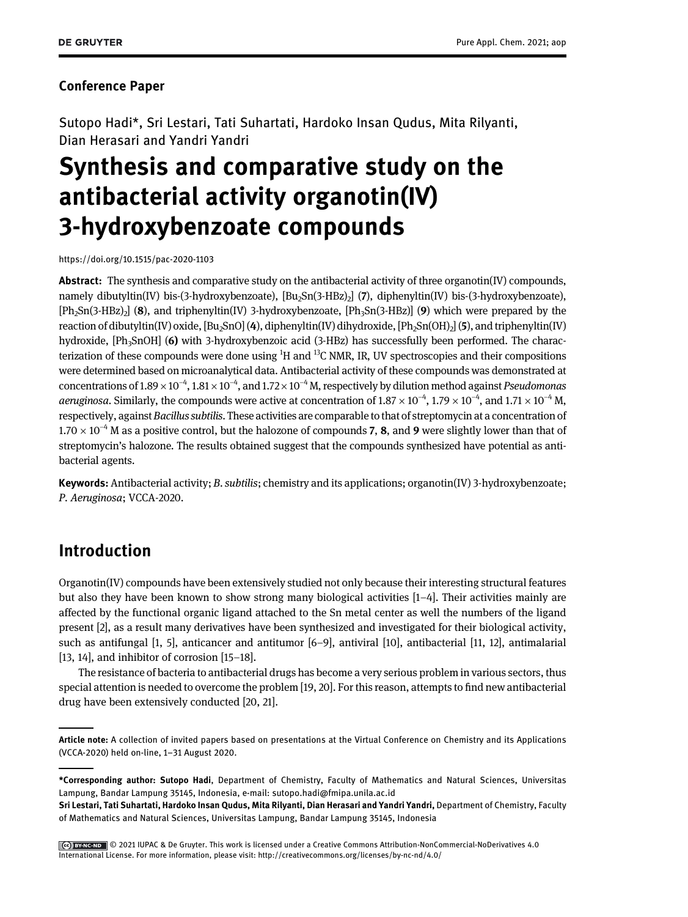#### Conference Paper

Sutopo Hadi\*, Sri Lestari, Tati Suhartati, Hardoko Insan Qudus, Mita Rilyanti, Dian Herasari and Yandri Yandri

# Synthesis and comparative study on the antibacterial activity organotin(IV) 3-hydroxybenzoate compounds

<https://doi.org/10.1515/pac-2020-1103>

Abstract: The synthesis and comparative study on the antibacterial activity of three organotin(IV) compounds, namely dibutyltin(IV) bis-(3-hydroxybenzoate), [Bu<sub>2</sub>Sn(3-HBz)<sub>2</sub>] (7), diphenyltin(IV) bis-(3-hydroxybenzoate),  $[Ph_2Sn(3-HBz)_2]$  (8), and triphenyltin(IV) 3-hydroxybenzoate,  $[Ph_3Sn(3-HBz)]$  (9) which were prepared by the reaction of dibutyltin(IV) oxide,  $[Bu_2SnO]$  (4), diphenyltin(IV) dihydroxide,  $[Bh_2Sn(OH)_2]$  (5), and triphenyltin(IV) hydroxide, [Ph<sub>3</sub>SnOH] (6) with 3-hydroxybenzoic acid (3-HBz) has successfully been performed. The characterization of these compounds were done using <sup>1</sup>H and <sup>13</sup>C NMR, IR, UV spectroscopies and their compositions were determined based on microanalytical data. Antibacterial activity of these compounds was demonstrated at concentrations of 1.89  $\times$  10<sup>-4</sup>, 1.81  $\times$  10<sup>-4</sup>, and 1.72  $\times$  10<sup>-4</sup> M, respectively by dilution method against *Pseudomonas* aeruginosa. Similarly, the compounds were active at concentration of 1.87  $\times$  10<sup>-4</sup>, 1.79  $\times$  10<sup>-4</sup>, and 1.71  $\times$  10<sup>-4</sup> M, respectively, against Bacillus subtilis. These activities are comparable to that of streptomycin at a concentration of  $1.70 \times 10^{-4}$  M as a positive control, but the halozone of compounds 7, 8, and 9 were slightly lower than that of streptomycin's halozone. The results obtained suggest that the compounds synthesized have potential as antibacterial agents.

Keywords: Antibacterial activity; B. subtilis; chemistry and its applications; organotin(IV) 3-hydroxybenzoate; P. Aeruginosa; VCCA-2020.

# Introduction

Organotin(IV) compounds have been extensively studied not only because their interesting structural features but also they have been known to show strong many biological activities [1[–](#page-4-0)4]. Their activities mainly are affected by the functional organic ligand attached to the Sn metal center as well the numbers of the ligand present [\[2\]](#page-4-1), as a result many derivatives have been synthesized and investigated for their biological activity, such as antifungal [\[1, 5\]](#page-4-0), anticancer and antitumor [6[–](#page-4-2)9], antiviral [\[10](#page-5-0)], antibacterial [[11, 12\]](#page-5-1), antimalarial [[13, 14](#page-5-2)], and inhibitor of corrosion [15–[18\]](#page-5-3).

The resistance of bacteria to antibacterial drugs has become a very serious problem in various sectors, thus special attention is needed to overcome the problem [[19, 20\]](#page-5-4). For this reason, attempts to find new antibacterial drug have been extensively conducted [[20, 21\]](#page-5-5).

Article note: A collection of invited papers based on presentations at the Virtual Conference on Chemistry and its Applications (VCCA-2020) held on-line, 1–31 August 2020.

<sup>\*</sup>Corresponding author: Sutopo Hadi, Department of Chemistry, Faculty of Mathematics and Natural Sciences, Universitas Lampung, Bandar Lampung 35145, Indonesia, e-mail: [sutopo.hadi@fmipa.unila.ac.id](mailto:sutopo.hadi@fmipa.unila.ac.id)

Sri Lestari, Tati Suhartati, Hardoko Insan Qudus, Mita Rilyanti, Dian Herasari and Yandri Yandri, Department of Chemistry, Faculty of Mathematics and Natural Sciences, Universitas Lampung, Bandar Lampung 35145, Indonesia

Cee) BY ANCEND CO 2021 IUPAC & De Gruyter. This work is licensed under a Creative Commons Attribution-NonCommercial-NoDerivatives 4.0 International License. For more information, please visit:<http://creativecommons.org/licenses/by-nc-nd/4.0/>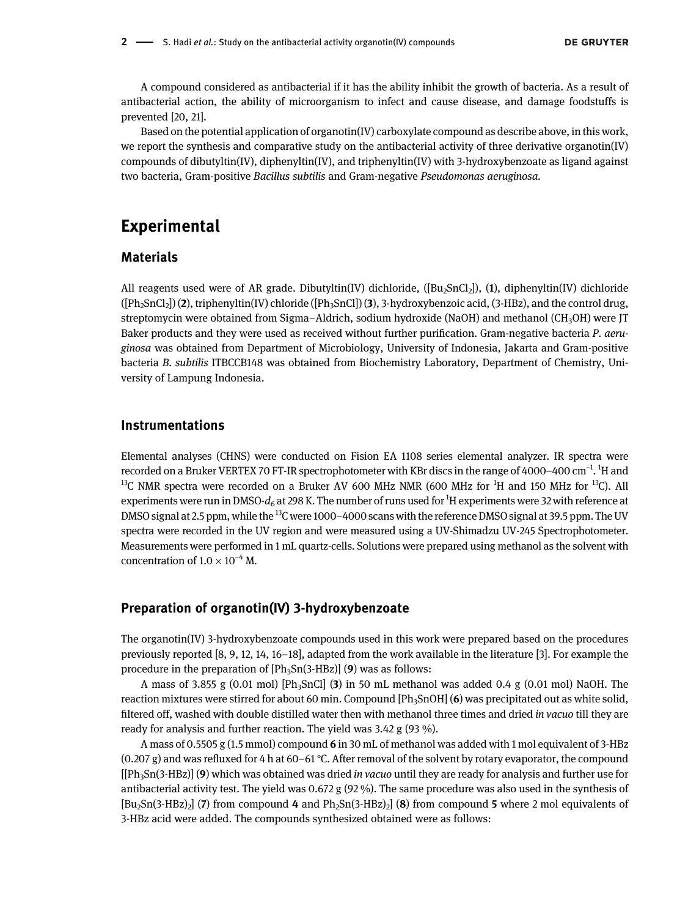A compound considered as antibacterial if it has the ability inhibit the growth of bacteria. As a result of antibacterial action, the ability of microorganism to infect and cause disease, and damage foodstuffs is prevented [[20, 21\]](#page-5-5).

Based on the potential application of organotin(IV) carboxylate compound as describe above, in this work, we report the synthesis and comparative study on the antibacterial activity of three derivative organotin(IV) compounds of dibutyltin(IV), diphenyltin(IV), and triphenyltin(IV) with 3-hydroxybenzoate as ligand against two bacteria, Gram-positive Bacillus subtilis and Gram-negative Pseudomonas aeruginosa.

### Experimental

#### Materials

All reagents used were of AR grade. Dibutyltin(IV) dichloride, ( $[Bu_2 SnCl_2]$ ), (1), diphenyltin(IV) dichloride  $([Ph_2SnCl_2])$  (2), triphenyltin(IV) chloride ( $[Ph_3SnCl]$ ) (3), 3-hydroxybenzoic acid, (3-HBz), and the control drug, streptomycin were obtained from Sigma–Aldrich, sodium hydroxide (NaOH) and methanol (CH<sub>3</sub>OH) were JT Baker products and they were used as received without further purification. Gram-negative bacteria P. aeruginosa was obtained from Department of Microbiology, University of Indonesia, Jakarta and Gram-positive bacteria B. subtilis ITBCCB148 was obtained from Biochemistry Laboratory, Department of Chemistry, University of Lampung Indonesia.

#### Instrumentations

Elemental analyses (CHNS) were conducted on Fision EA 1108 series elemental analyzer. IR spectra were recorded on a Bruker VERTEX 70 FT-IR spectrophotometer with KBr discs in the range of 4000–400 cm<sup>−1</sup>. <sup>1</sup>H and  $^{13}$ C NMR spectra were recorded on a Bruker AV 600 MHz NMR (600 MHz for  $^{1}$ H and 150 MHz for  $^{13}$ C). All experiments were run in DMSO- $d_6$  at 298 K. The number of runs used for  $^1\!H$  experiments were 32 with reference at DMSO signal at 2.5 ppm, while the 13C were 1000–4000 scans with the reference DMSO signal at 39.5 ppm. The UV spectra were recorded in the UV region and were measured using a UV-Shimadzu UV-245 Spectrophotometer. Measurements were performed in 1 mL quartz-cells. Solutions were prepared using methanol as the solvent with concentration of  $1.0 \times 10^{-4}$  M.

#### Preparation of organotin(IV) 3-hydroxybenzoate

The organotin(IV) 3-hydroxybenzoate compounds used in this work were prepared based on the procedures previously reported [[8,](#page-4-3) [9,](#page-5-6) [12,](#page-5-7) [14](#page-5-8), [16](#page-5-9)–[18](#page-5-10)], adapted from the work available in the literature [[3](#page-4-4)]. For example the procedure in the preparation of  $[Ph_3Sn(3-HBz)]$  (9) was as follows:

A mass of 3.855 g (0.01 mol) [Ph<sub>3</sub>SnCl] (3) in 50 mL methanol was added 0.4 g (0.01 mol) NaOH. The reaction mixtures were stirred for about 60 min. Compound  $[Ph_3SnOH] (6)$  was precipitated out as white solid, filtered off, washed with double distilled water then with methanol three times and dried in vacuo till they are ready for analysis and further reaction. The yield was 3.42 g (93 %).

A mass of 0.5505 g (1.5 mmol) compound 6 in 30 mL of methanol was added with 1 mol equivalent of 3-HBz (0.207 g) and was refluxed for 4 h at 60–61 °C. After removal of the solvent by rotary evaporator, the compound  $[[Ph<sub>3</sub>Sn(3-HBz)]$  (9) which was obtained was dried in vacuo until they are ready for analysis and further use for antibacterial activity test. The yield was 0.672 g (92 %). The same procedure was also used in the synthesis of  $[Bu_2Sn(3-HBz)_2]$  (7) from compound 4 and  $Ph_2Sn(3-HBz)_2$  (8) from compound 5 where 2 mol equivalents of 3-HBz acid were added. The compounds synthesized obtained were as follows: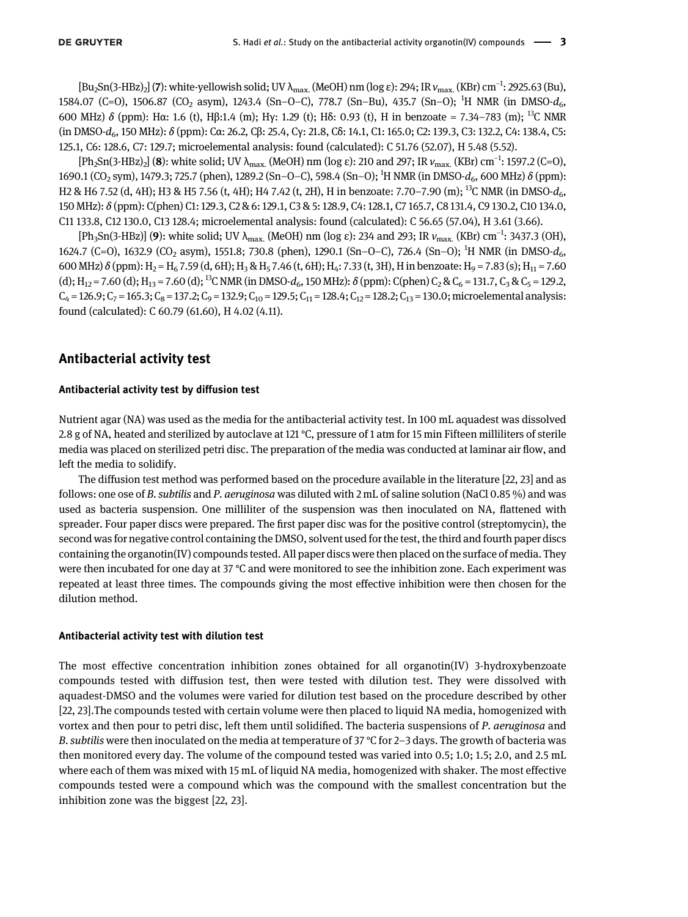$[Bu_2Sn(3-HBz)_2]$  (7): white-yellowish solid; UV  $\lambda_{\max}$  (MeOH) nm (log ε): 294; IR  $v_{\max}$  (KBr) cm $^{-1}$ : 2925.63 (Bu), 1584.07 (C=O), 1506.87 (CO<sub>2</sub> asym), 1243.4 (Sn-O-C), 778.7 (Sn-Bu), 435.7 (Sn-O); <sup>1</sup>H NMR (in DMSO- $d_6$ , 600 MHz) δ (ppm): Hα: 1.6 (t), Hβ:1.4 (m); Hγ: 1.29 (t); Hδ: 0.93 (t), H in benzoate = 7.34–783 (m); 13C NMR (in DMSO-d6, 150 MHz): δ (ppm): Cα: 26.2, Cβ: 25.4, Cγ: 21.8, Cδ: 14.1, C1: 165.0; C2: 139.3, C3: 132.2, C4: 138.4, C5: 125.1, C6: 128.6, C7: 129.7; microelemental analysis: found (calculated): C 51.76 (52.07), H 5.48 (5.52).

[Ph<sub>2</sub>Sn(3-HBz)<sub>2</sub>] (**8**): white solid; UV λ<sub>max.</sub> (MeOH) nm (log ε): 210 and 297; IR  $v_{\rm max}$  (KBr) cm<sup>-1</sup>: 1597.2 (C=O), 1690.1 (CO<sub>2</sub> sym), 1479.3; 725.7 (phen), 1289.2 (Sn–O–C), 598.4 (Sn–O); <sup>1</sup>H NMR (in DMSO- $d_6$ , 600 MHz) δ (ppm): H2 & H6 7.52 (d, 4H); H3 & H5 7.56 (t, 4H); H4 7.42 (t, 2H), H in benzoate: 7.70–7.90 (m); <sup>13</sup>C NMR (in DMSO- $d_6$ , 150 MHz): δ (ppm): C(phen) C1: 129.3, C2 & 6: 129.1, C3 & 5: 128.9, C4: 128.1, C7 165.7, C8 131.4, C9 130.2, C10 134.0, C11 133.8, C12 130.0, C13 128.4; microelemental analysis: found (calculated): C 56.65 (57.04), H 3.61 (3.66).

[Ph<sub>3</sub>Sn(3-HBz)] (**9**): white solid; UV λ<sub>max.</sub> (MeOH) nm (log ε): 234 and 293; IR  $v_{\rm max}$  (KBr) cm<sup>-1</sup>: 3437.3 (OH), 1624.7 (C=O), 1632.9 (CO<sub>2</sub> asym), 1551.8; 730.8 (phen), 1290.1 (Sn-O-C), 726.4 (Sn-O); <sup>1</sup>H NMR (in DMSO- $d_6$ , 600 MHz)  $\delta$  (ppm): H<sub>2</sub> = H<sub>6</sub> 7.59 (d, 6H); H<sub>3</sub> & H<sub>5</sub> 7.46 (t, 6H); H<sub>4</sub>: 7.33 (t, 3H), H in benzoate: H<sub>9</sub> = 7.83 (s); H<sub>11</sub> = 7.60 (d);  $H_{12} = 7.60$  (d);  $H_{13} = 7.60$  (d); <sup>13</sup>C NMR (in DMSO- $d_6$ , 150 MHz):  $\delta$  (ppm): C(phen) C<sub>2</sub> & C<sub>6</sub> = 131.7, C<sub>3</sub> & C<sub>5</sub> = 129.2,  $C_4$  = 126.9;  $C_7$  = 165.3;  $C_8$  = 137.2;  $C_9$  = 132.9;  $C_{10}$  = 129.5;  $C_{11}$  = 128.4;  $C_{12}$  = 128.2;  $C_{13}$  = 130.0; microelemental analysis: found (calculated): C 60.79 (61.60), H 4.02 (4.11).

#### Antibacterial activity test

#### Antibacterial activity test by diffusion test

Nutrient agar (NA) was used as the media for the antibacterial activity test. In 100 mL aquadest was dissolved 2.8 g of NA, heated and sterilized by autoclave at 121 °C, pressure of 1 atm for 15 min Fifteen milliliters of sterile media was placed on sterilized petri disc. The preparation of the media was conducted at laminar air flow, and left the media to solidify.

The diffusion test method was performed based on the procedure available in the literature [[22, 23](#page-5-11)] and as follows: one ose of B. subtilis and P. aeruginosa was diluted with  $2 \text{ mL}$  of saline solution (NaCl 0.85 %) and was used as bacteria suspension. One milliliter of the suspension was then inoculated on NA, flattened with spreader. Four paper discs were prepared. The first paper disc was for the positive control (streptomycin), the second was for negative control containing the DMSO, solvent used for the test, the third and fourth paper discs containing the organotin(IV) compounds tested. All paper discs were then placed on the surface of media. They were then incubated for one day at 37 °C and were monitored to see the inhibition zone. Each experiment was repeated at least three times. The compounds giving the most effective inhibition were then chosen for the dilution method.

#### Antibacterial activity test with dilution test

The most effective concentration inhibition zones obtained for all organotin(IV) 3-hydroxybenzoate compounds tested with diffusion test, then were tested with dilution test. They were dissolved with aquadest-DMSO and the volumes were varied for dilution test based on the procedure described by other [[22, 23](#page-5-11)].The compounds tested with certain volume were then placed to liquid NA media, homogenized with vortex and then pour to petri disc, left them until solidified. The bacteria suspensions of P. aeruginosa and B. subtilis were then inoculated on the media at temperature of 37 °C for 2–3 days. The growth of bacteria was then monitored every day. The volume of the compound tested was varied into 0.5; 1.0; 1.5; 2.0, and 2.5 mL where each of them was mixed with 15 mL of liquid NA media, homogenized with shaker. The most effective compounds tested were a compound which was the compound with the smallest concentration but the inhibition zone was the biggest [\[22, 23\]](#page-5-11).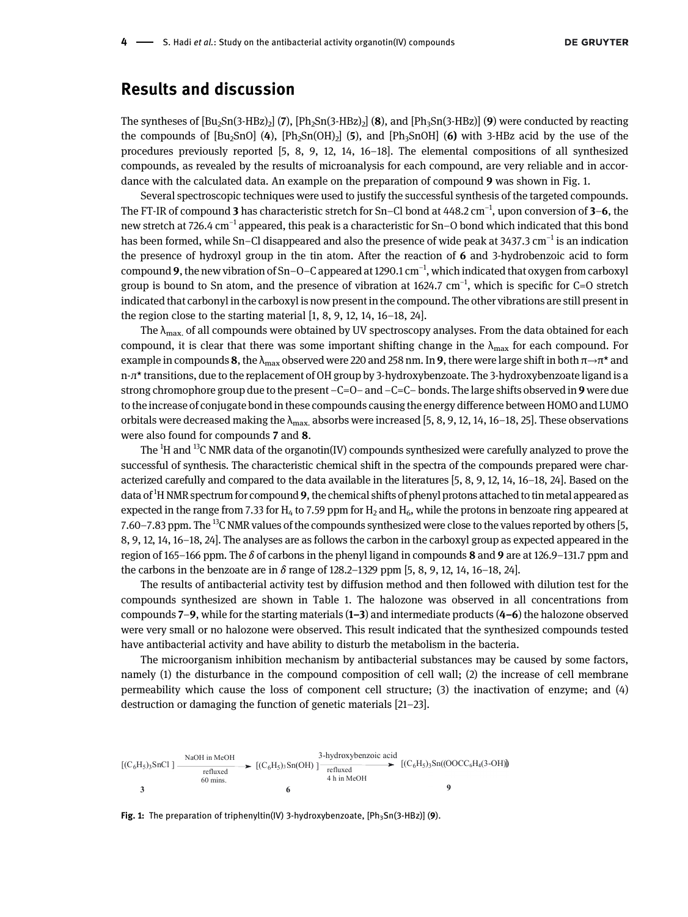### Results and discussion

The syntheses of  $[Bu_2Sn(3-HBz)_2]$  (7),  $[Ph_2Sn(3-HBz)_2]$  (8), and  $[Ph_3Sn(3-HBz)]$  (9) were conducted by reacting the compounds of  $[Bu_2SnO]$  (4),  $[Ph_2Sn(OH)_2]$  (5), and  $[Ph_3SnOH]$  (6) with 3-HBz acid by the use of the procedures previously reported [[5](#page-4-5), [8,](#page-4-3) [9](#page-5-6), [12](#page-5-7), [14,](#page-5-8) [16](#page-5-9)–[18](#page-5-10)]. The elemental compositions of all synthesized compounds, as revealed by the results of microanalysis for each compound, are very reliable and in accordance with the calculated data. An example on the preparation of compound 9 was shown in [Fig. 1.](#page-3-0)

Several spectroscopic techniques were used to justify the successful synthesis of the targeted compounds. The FT-IR of compound **3** has characteristic stretch for Sn–Cl bond at 448.2 cm $^{-1}$ , upon conversion of **3–6**, the new stretch at 726.4 cm<sup>−</sup><sup>1</sup> appeared, this peak is a characteristic for Sn–O bond which indicated that this bond has been formed, while Sn–Cl disappeared and also the presence of wide peak at 3437.3 cm<sup>-1</sup> is an indication the presence of hydroxyl group in the tin atom. After the reaction of 6 and 3-hydrobenzoic acid to form compound 9, the new vibration of Sn–O–C appeared at 1290.1 cm $^{-1}$ , which indicated that oxygen from carboxyl group is bound to Sn atom, and the presence of vibration at 1624.7 cm<sup>-1</sup>, which is specific for C=O stretch indicated that carbonyl in the carboxyl is now present in the compound. The other vibrations are still present in the region close to the starting material [\[1,](#page-4-0) [8](#page-4-3), [9](#page-5-6), [12,](#page-5-7) [14,](#page-5-8) [16](#page-5-9)–[18,](#page-5-10) [24](#page-5-12)].

The  $\lambda_{\text{max}}$  of all compounds were obtained by UV spectroscopy analyses. From the data obtained for each compound, it is clear that there was some important shifting change in the  $\lambda_{\text{max}}$  for each compound. For example in compounds 8, the  $\lambda_{\max}$  observed were 220 and 258 nm. In 9, there were large shift in both  $\pi \to \pi^*$  and n-л\* transitions, due to the replacement of OH group by 3-hydroxybenzoate. The 3-hydroxybenzoate ligand is a strong chromophore group due to the present  $-C=O$  – and  $-C=C$ – bonds. The large shifts observed in 9 were due to the increase of conjugate bond in these compounds causing the energy difference between HOMO and LUMO orbitals were decreased making the  $\lambda_{\text{max}}$  absorbs were increased [\[5](#page-4-5), [8](#page-4-3), [9,](#page-5-6) [12](#page-5-7), [14,](#page-5-8) [16](#page-5-9)–[18,](#page-5-10) [25\]](#page-5-13). These observations were also found for compounds 7 and 8.

The  $^1$ H and  $^{13}$ C NMR data of the organotin(IV) compounds synthesized were carefully analyzed to prove the successful of synthesis. The characteristic chemical shift in the spectra of the compounds prepared were characterized carefully and compared to the data available in the literatures [\[5,](#page-4-5) [8,](#page-4-3) [9](#page-5-6), [12](#page-5-7), [14,](#page-5-8) [16](#page-5-9)–[18](#page-5-10), [24](#page-5-12)]. Based on the data of <sup>1</sup>H NMR spectrum for compound 9, the chemical shifts of phenyl protons attached to tin metal appeared as expected in the range from 7.33 for  $H_4$  to 7.59 ppm for  $H_2$  and  $H_6$ , while the protons in benzoate ring appeared at 7.60–7.83 ppm. The <sup>13</sup>C NMR values of the compounds synthesized were close to the values reported by others [\[5](#page-4-5), [8,](#page-4-3) [9](#page-5-6), [12,](#page-5-7) [14](#page-5-8), [16](#page-5-9)–[18,](#page-5-10) [24](#page-5-12)]. The analyses are as follows the carbon in the carboxyl group as expected appeared in the region of 165–166 ppm. The  $\delta$  of carbons in the phenyl ligand in compounds 8 and 9 are at 126.9–131.7 ppm and the carbons in the benzoate are in  $\delta$  range of 128.2–1329 ppm [[5](#page-4-5), [8](#page-4-3), [9](#page-5-6), [12,](#page-5-7) [14,](#page-5-8) [16](#page-5-9)–[18,](#page-5-10) [24\]](#page-5-12).

The results of antibacterial activity test by diffusion method and then followed with dilution test for the compounds synthesized are shown in [Table 1](#page-4-6). The halozone was observed in all concentrations from compounds 7–9, while for the starting materials (1–3) and intermediate products (4–6) the halozone observed were very small or no halozone were observed. This result indicated that the synthesized compounds tested have antibacterial activity and have ability to disturb the metabolism in the bacteria.

The microorganism inhibition mechanism by antibacterial substances may be caused by some factors, namely (1) the disturbance in the compound composition of cell wall; (2) the increase of cell membrane permeability which cause the loss of component cell structure; (3) the inactivation of enzyme; and (4) destruction or damaging the function of genetic materials [21–[23\]](#page-5-14).



<span id="page-3-0"></span>Fig. 1: The preparation of triphenyltin(IV) 3-hydroxybenzoate,  $[Ph_3Sn(3-HBz)]$  (9).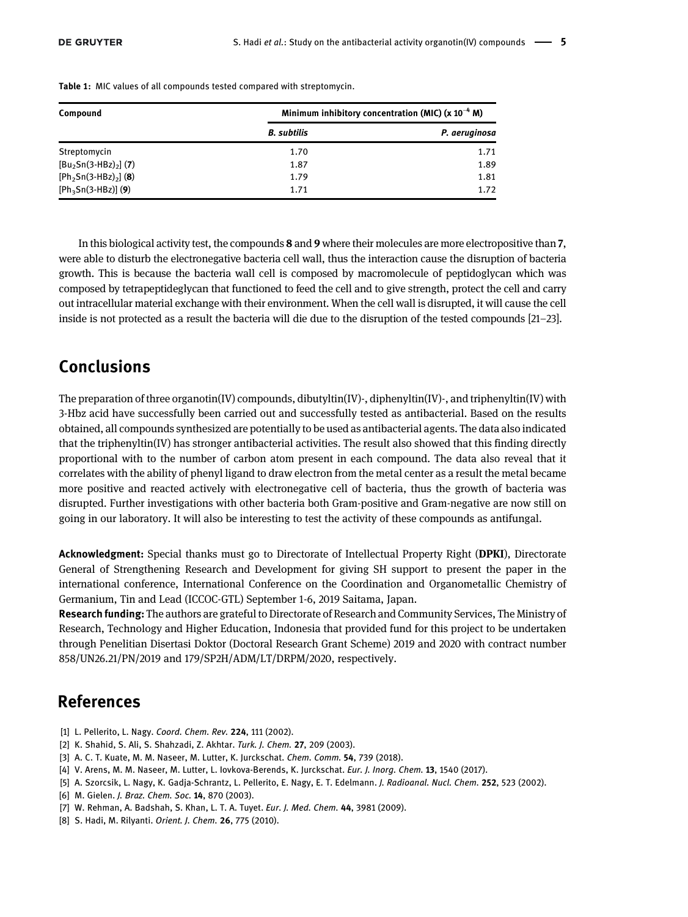| Compound                | Minimum inhibitory concentration (MIC) $(x 10^{-4} M)$ |               |
|-------------------------|--------------------------------------------------------|---------------|
|                         | <b>B.</b> subtilis                                     | P. aeruginosa |
| Streptomycin            | 1.70                                                   | 1.71          |
| $[Bu2Sn(3-HBz)2]$ (7)   | 1.87                                                   | 1.89          |
| $[Ph_2Sn(3-HBz)_2]$ (8) | 1.79                                                   | 1.81          |
| $[Ph_3Sn(3-HBz)]$ (9)   | 1.71                                                   | 1.72          |

<span id="page-4-6"></span>Table 1: MIC values of all compounds tested compared with streptomycin.

In this biological activity test, the compounds 8 and 9 where their molecules are more electropositive than 7, were able to disturb the electronegative bacteria cell wall, thus the interaction cause the disruption of bacteria growth. This is because the bacteria wall cell is composed by macromolecule of peptidoglycan which was composed by tetrapeptideglycan that functioned to feed the cell and to give strength, protect the cell and carry out intracellular material exchange with their environment. When the cell wall is disrupted, it will cause the cell inside is not protected as a result the bacteria will die due to the disruption of the tested compounds [21–[23\]](#page-5-14).

## Conclusions

The preparation of three organotin(IV) compounds, dibutyltin(IV)-, diphenyltin(IV)-, and triphenyltin(IV) with 3-Hbz acid have successfully been carried out and successfully tested as antibacterial. Based on the results obtained, all compounds synthesized are potentially to be used as antibacterial agents. The data also indicated that the triphenyltin(IV) has stronger antibacterial activities. The result also showed that this finding directly proportional with to the number of carbon atom present in each compound. The data also reveal that it correlates with the ability of phenyl ligand to draw electron from the metal center as a result the metal became more positive and reacted actively with electronegative cell of bacteria, thus the growth of bacteria was disrupted. Further investigations with other bacteria both Gram-positive and Gram-negative are now still on going in our laboratory. It will also be interesting to test the activity of these compounds as antifungal.

Acknowledgment: Special thanks must go to Directorate of Intellectual Property Right (DPKI), Directorate General of Strengthening Research and Development for giving SH support to present the paper in the international conference, International Conference on the Coordination and Organometallic Chemistry of Germanium, Tin and Lead (ICCOC-GTL) September 1-6, 2019 Saitama, Japan.

Research funding: The authors are grateful to Directorate of Research and Community Services, The Ministry of Research, Technology and Higher Education, Indonesia that provided fund for this project to be undertaken through Penelitian Disertasi Doktor (Doctoral Research Grant Scheme) 2019 and 2020 with contract number 858/UN26.21/PN/2019 and 179/SP2H/ADM/LT/DRPM/2020, respectively.

## References

- <span id="page-4-1"></span><span id="page-4-0"></span>[1] L. Pellerito, L. Nagy. Coord. Chem. Rev. 224, 111 (2002).
- <span id="page-4-4"></span>[2] K. Shahid, S. Ali, S. Shahzadi, Z. Akhtar. Turk. J. Chem. 27, 209 (2003).
- [3] A. C. T. Kuate, M. M. Naseer, M. Lutter, K. Jurckschat. Chem. Comm. 54, 739 (2018).
- <span id="page-4-5"></span>[4] V. Arens, M. M. Naseer, M. Lutter, L. Iovkova-Berends, K. Jurckschat. Eur. J. Inorg. Chem. 13, 1540 (2017).
- <span id="page-4-2"></span>[5] A. Szorcsik, L. Nagy, K. Gadja-Schrantz, L. Pellerito, E. Nagy, E. T. Edelmann. J. Radioanal. Nucl. Chem. 252, 523 (2002).
- [6] M. Gielen. J. Braz. Chem. Soc. 14, 870 (2003).
- <span id="page-4-3"></span>[7] W. Rehman, A. Badshah, S. Khan, L. T. A. Tuyet. Eur. J. Med. Chem. 44, 3981 (2009).
- [8] S. Hadi, M. Rilyanti. Orient. J. Chem. 26, 775 (2010).